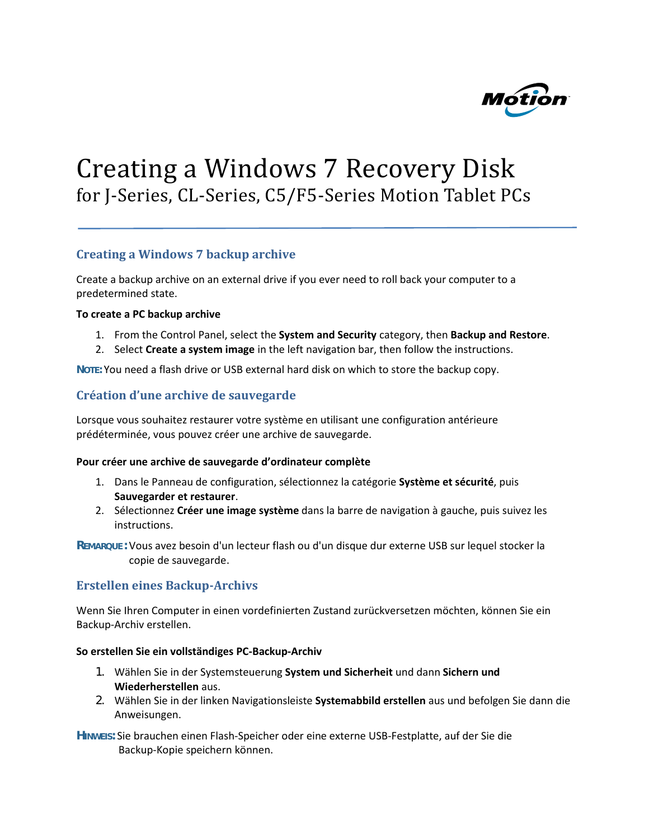

# Creating a Windows 7 Recovery Disk for J-Series, CL-Series, C5/F5-Series Motion Tablet PCs

## **Creating a Windows 7 backup archive**

Create a backup archive on an external drive if you ever need to roll back your computer to a predetermined state.

#### **To create a PC backup archive**

- 1. From the Control Panel, select the **System and Security** category, then **Backup and Restore**.
- 2. Select **Create a system image** in the left navigation bar, then follow the instructions.

**NOTE:** You need a flash drive or USB external hard disk on which to store the backup copy.

## **Création d'une archive de sauvegarde**

Lorsque vous souhaitez restaurer votre système en utilisant une configuration antérieure prédéterminée, vous pouvez créer une archive de sauvegarde.

#### **Pour créer une archive de sauvegarde d'ordinateur complète**

- 1. Dans le Panneau de configuration, sélectionnez la catégorie **Système et sécurité**, puis **Sauvegarder et restaurer**.
- 2. Sélectionnez **Créer une image système** dans la barre de navigation à gauche, puis suivez les instructions.

**REMARQUE :** Vous avez besoin d'un lecteur flash ou d'un disque dur externe USB sur lequel stocker la copie de sauvegarde.

## **Erstellen eines Backup-Archivs**

Wenn Sie Ihren Computer in einen vordefinierten Zustand zurückversetzen möchten, können Sie ein Backup-Archiv erstellen.

#### **So erstellen Sie ein vollständiges PC-Backup-Archiv**

- 1. Wählen Sie in der Systemsteuerung **System und Sicherheit** und dann **Sichern und Wiederherstellen** aus.
- 2. Wählen Sie in der linken Navigationsleiste **Systemabbild erstellen** aus und befolgen Sie dann die Anweisungen.

**HINWEIS:** Sie brauchen einen Flash-Speicher oder eine externe USB-Festplatte, auf der Sie die Backup-Kopie speichern können.